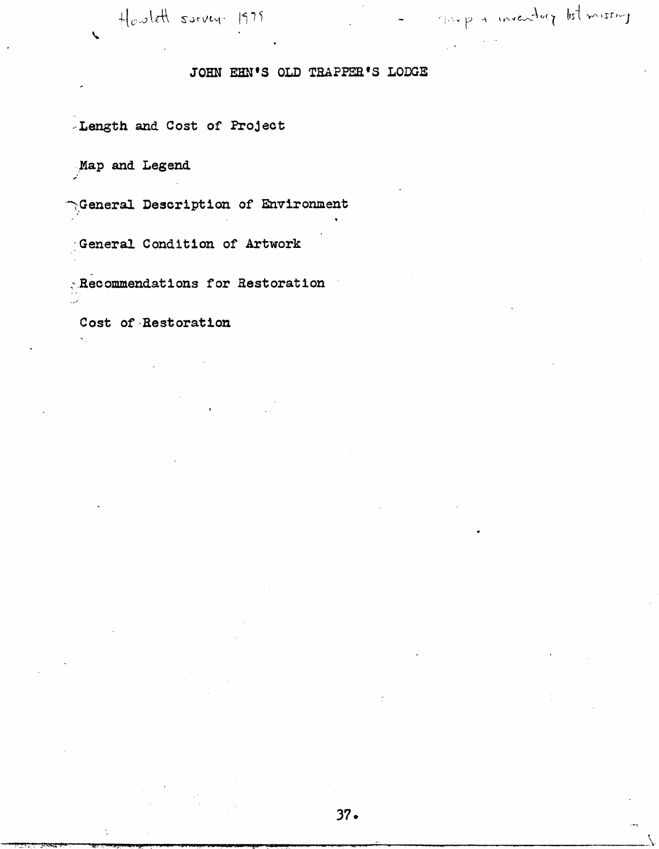$H_{c}$ wlett survey. 1979

# JOHN EHN'S OLD TRAPPER'S LODGE

Length and Cost of Project

Map and Legend

 $\mathbf{C}$ 

 $\cap$  General Description of Environment

General Condition of Artwork

 $\mathbb{R}$  Recommendations for Restoration

Cost of Restoration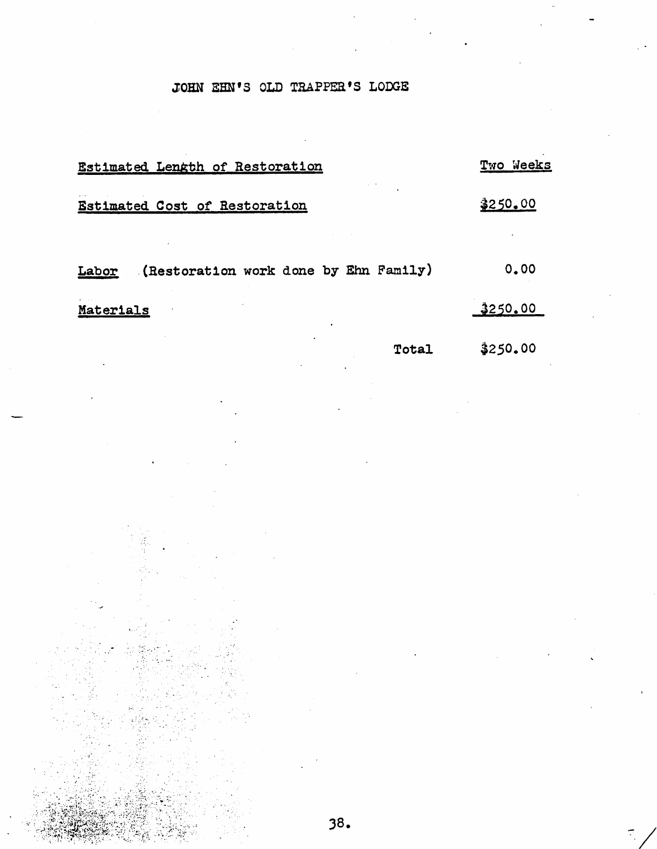# JOHN SEN'S OLD TRAPPEa'S LODGE

# Estimated Length of Restoration

Two Weeks

Estimated Cost of Restoration  $250.00$ 

Labor (Restoration work done by Ehn Family) 0.00

Materials 3250.00

Total  $$250.00$ 

 $\mathbb{R}^2$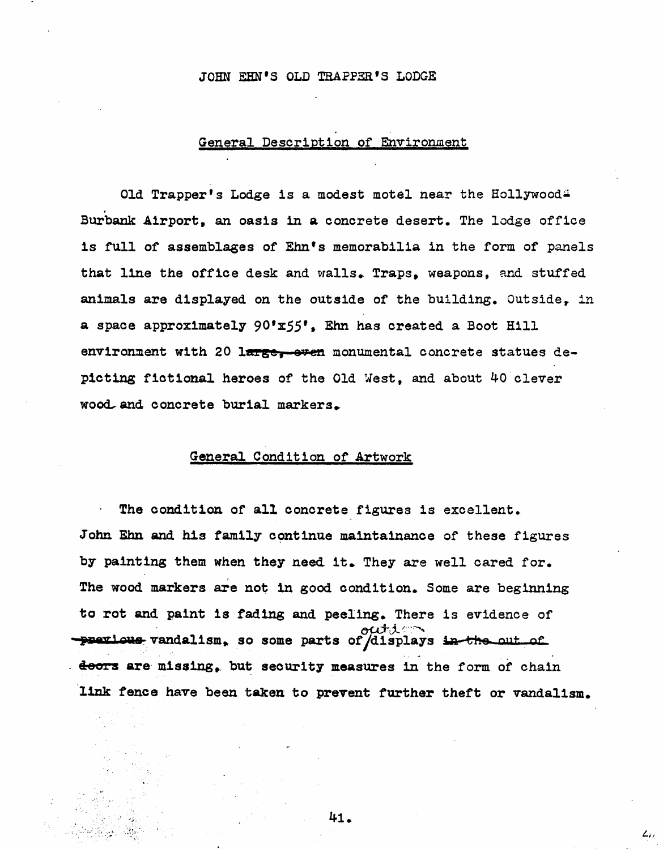### JOHN EHN'S OLD TRAPPER'S LODGE

## General Description of Environment

Old Trapper's Lodge is a modest motel near the Hollywood. Burbank Airport, an oasis in a concrete desert. The lodge office is full of assemblages of Ehn's memorabilia in the form of panels that line the office desk and walls. Traps, weapons, and stuffed animals are displayed on the outside of the building. Outside, in a space approximately  $90'$ x $55'$ , Ehn has created a Boot Hill environment with 20 large, oven monumental concrete statues depicting fictional heroes of the Old West, and about ^0 clever wood and concrete burial markers.

## General Condition of Artwork

The condition of all concrete figures is excellent. John Ehn and his family continue maintainance of these figures by painting them when they need it. They are well cared for. The wood markers are not In good condition. Some are beginning to rot and paint is fading and peeling. There is evidence of -previous vandalism, so some parts of displays in the out of doors are missing, but security measures in the form of chain link fence have been taken to prevent further theft or vandalism.

^1.

 $\mathcal{L}_{i},$